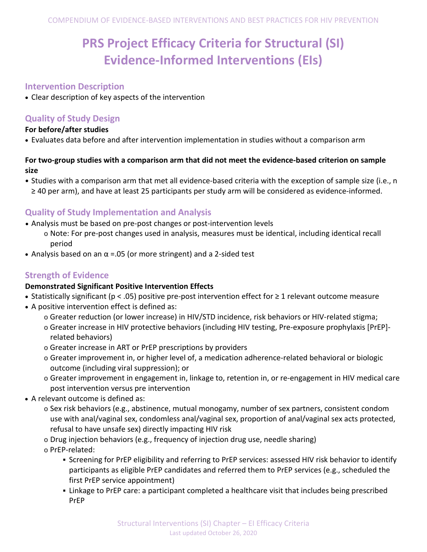# **PRS Project Efficacy Criteria for Structural (SI) Evidence-Informed Interventions (EIs)**

## **Intervention Description**

• Clear description of key aspects of the intervention

## **Quality of Study Design**

#### **For before/after studies**

• Evaluates data before and after intervention implementation in studies without a comparison arm

### **For two-group studies with a comparison arm that did not meet the evidence-based criterion on sample size**

• Studies with a comparison arm that met all evidence-based criteria with the exception of sample size (i.e., n ≥ 40 per arm), and have at least 25 participants per study arm will be considered as evidence-informed.

# **Quality of Study Implementation and Analysis**

- Analysis must be based on pre-post changes or post-intervention levels
	- o Note: For pre-post changes used in analysis, measures must be identical, including identical recall period
- Analysis based on an  $\alpha$  =.05 (or more stringent) and a 2-sided test

## **Strength of Evidence**

## **Demonstrated Significant Positive Intervention Effects**

- Statistically significant (p < .05) positive pre-post intervention effect for ≥ 1 relevant outcome measure
- A positive intervention effect is defined as:
	- o Greater reduction (or lower increase) in HIV/STD incidence, risk behaviors or HIV-related stigma;
	- o Greater increase in HIV protective behaviors (including HIV testing, Pre-exposure prophylaxis [PrEP] related behaviors)
	- o Greater increase in ART or PrEP prescriptions by providers
	- o Greater improvement in, or higher level of, a medication adherence-related behavioral or biologic outcome (including viral suppression); or
	- o Greater improvement in engagement in, linkage to, retention in, or re-engagement in HIV medical care post intervention versus pre intervention
- A relevant outcome is defined as:
	- o Sex risk behaviors (e.g., abstinence, mutual monogamy, number of sex partners, consistent condom use with anal/vaginal sex, condomless anal/vaginal sex, proportion of anal/vaginal sex acts protected, refusal to have unsafe sex) directly impacting HIV risk
	- o Drug injection behaviors (e.g., frequency of injection drug use, needle sharing)
	- o PrEP-related:
		- Screening for PrEP eligibility and referring to PrEP services: assessed HIV risk behavior to identify participants as eligible PrEP candidates and referred them to PrEP services (e.g., scheduled the first PrEP service appointment)
		- Linkage to PrEP care: a participant completed a healthcare visit that includes being prescribed PrEP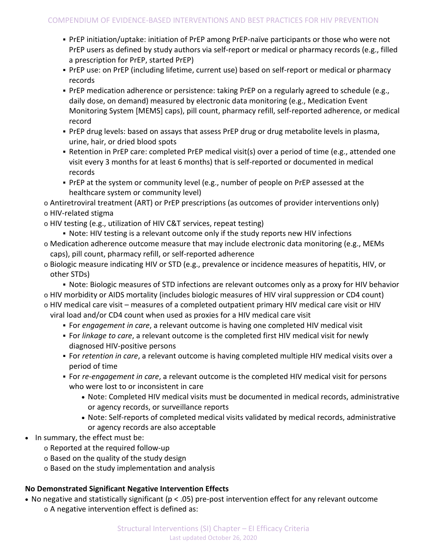- PrEP initiation/uptake: initiation of PrEP among PrEP-naïve participants or those who were not PrEP users as defined by study authors via self-report or medical or pharmacy records (e.g., filled a prescription for PrEP, started PrEP)
- PrEP use: on PrEP (including lifetime, current use) based on self-report or medical or pharmacy records
- PrEP medication adherence or persistence: taking PrEP on a regularly agreed to schedule (e.g., daily dose, on demand) measured by electronic data monitoring (e.g., Medication Event Monitoring System [MEMS] caps), pill count, pharmacy refill, self-reported adherence, or medical record
- PrEP drug levels: based on assays that assess PrEP drug or drug metabolite levels in plasma, urine, hair, or dried blood spots
- Retention in PrEP care: completed PrEP medical visit(s) over a period of time (e.g., attended one visit every 3 months for at least 6 months) that is self-reported or documented in medical records
- PrEP at the system or community level (e.g., number of people on PrEP assessed at the healthcare system or community level)
- o Antiretroviral treatment (ART) or PrEP prescriptions (as outcomes of provider interventions only)
- o HIV-related stigma
- o HIV testing (e.g., utilization of HIV C&T services, repeat testing)
	- Note: HIV testing is a relevant outcome only if the study reports new HIV infections
- o Medication adherence outcome measure that may include electronic data monitoring (e.g., MEMs caps), pill count, pharmacy refill, or self-reported adherence
- o Biologic measure indicating HIV or STD (e.g., prevalence or incidence measures of hepatitis, HIV, or other STDs)
	- Note: Biologic measures of STD infections are relevant outcomes only as a proxy for HIV behavior
- o HIV morbidity or AIDS mortality (includes biologic measures of HIV viral suppression or CD4 count) o HIV medical care visit – measures of a completed outpatient primary HIV medical care visit or HIV
	- viral load and/or CD4 count when used as proxies for a HIV medical care visit
		- For *engagement in care*, a relevant outcome is having one completed HIV medical visit
		- For *linkage to care*, a relevant outcome is the completed first HIV medical visit for newly diagnosed HIV-positive persons
		- For *retention in care*, a relevant outcome is having completed multiple HIV medical visits over a period of time
		- For *re-engagement in care*, a relevant outcome is the completed HIV medical visit for persons who were lost to or inconsistent in care
			- Note: Completed HIV medical visits must be documented in medical records, administrative or agency records, or surveillance reports
			- Note: Self-reports of completed medical visits validated by medical records, administrative or agency records are also acceptable
- In summary, the effect must be:
	- o Reported at the required follow-up
	- o Based on the quality of the study design
	- o Based on the study implementation and analysis

## **No Demonstrated Significant Negative Intervention Effects**

• No negative and statistically significant (p < .05) pre-post intervention effect for any relevant outcome o A negative intervention effect is defined as: